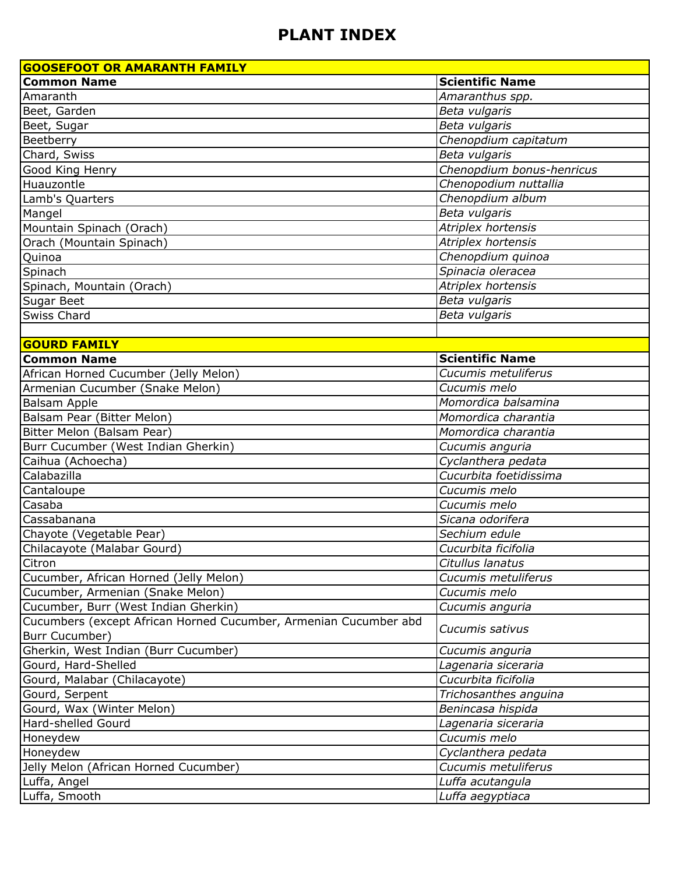| <b>GOOSEFOOT OR AMARANTH FAMILY</b>                                                |                                            |
|------------------------------------------------------------------------------------|--------------------------------------------|
| <b>Common Name</b>                                                                 | <b>Scientific Name</b>                     |
| Amaranth                                                                           | Amaranthus spp.                            |
| Beet, Garden                                                                       | Beta vulgaris                              |
| Beet, Sugar                                                                        | Beta vulgaris                              |
| Beetberry                                                                          | Chenopdium capitatum                       |
| Chard, Swiss                                                                       | Beta vulgaris                              |
| Good King Henry                                                                    | Chenopdium bonus-henricus                  |
| Huauzontle                                                                         | Chenopodium nuttallia                      |
| Lamb's Quarters                                                                    | Chenopdium album                           |
| Mangel                                                                             | Beta vulgaris                              |
| Mountain Spinach (Orach)                                                           | Atriplex hortensis                         |
| Orach (Mountain Spinach)                                                           | Atriplex hortensis                         |
| Quinoa                                                                             | Chenopdium quinoa                          |
| Spinach                                                                            | Spinacia oleracea                          |
| Spinach, Mountain (Orach)                                                          | Atriplex hortensis                         |
| Sugar Beet                                                                         | Beta vulgaris                              |
| Swiss Chard                                                                        | Beta vulgaris                              |
|                                                                                    |                                            |
| <b>GOURD FAMILY</b>                                                                |                                            |
| <b>Common Name</b>                                                                 | <b>Scientific Name</b>                     |
| African Horned Cucumber (Jelly Melon)                                              | Cucumis metuliferus                        |
| Armenian Cucumber (Snake Melon)                                                    | Cucumis melo                               |
| Balsam Apple                                                                       | Momordica balsamina                        |
| Balsam Pear (Bitter Melon)                                                         | Momordica charantia                        |
| Bitter Melon (Balsam Pear)                                                         | Momordica charantia                        |
| Burr Cucumber (West Indian Gherkin)                                                | Cucumis anguria                            |
| Caihua (Achoecha)                                                                  | Cyclanthera pedata                         |
| Calabazilla                                                                        | Cucurbita foetidissima                     |
| Cantaloupe                                                                         | Cucumis melo                               |
| Casaba                                                                             | Cucumis melo                               |
| Cassabanana                                                                        | Sicana odorifera                           |
| Chayote (Vegetable Pear)                                                           | Sechium edule                              |
| Chilacayote (Malabar Gourd)                                                        | Cucurbita ficifolia                        |
| Citron                                                                             | Citullus lanatus                           |
| Cucumber, African Horned (Jelly Melon)                                             | Cucumis metuliferus                        |
| Cucumber, Armenian (Snake Melon)                                                   | Cucumis melo                               |
| Cucumber, Burr (West Indian Gherkin)                                               | Cucumis anguria                            |
| Cucumbers (except African Horned Cucumber, Armenian Cucumber abd<br>Burr Cucumber) | Cucumis sativus                            |
| Gherkin, West Indian (Burr Cucumber)                                               |                                            |
| Gourd, Hard-Shelled                                                                | Cucumis anguria                            |
| Gourd, Malabar (Chilacayote)                                                       | Lagenaria siceraria<br>Cucurbita ficifolia |
|                                                                                    |                                            |
| Gourd, Serpent                                                                     | Trichosanthes anguina                      |
| Gourd, Wax (Winter Melon)                                                          | Benincasa hispida                          |
| Hard-shelled Gourd                                                                 | Lagenaria siceraria                        |
| Honeydew                                                                           | Cucumis melo                               |
| Honeydew                                                                           | Cyclanthera pedata                         |
| Jelly Melon (African Horned Cucumber)                                              | Cucumis metuliferus                        |
| Luffa, Angel                                                                       | Luffa acutangula                           |
| Luffa, Smooth                                                                      | Luffa aegyptiaca                           |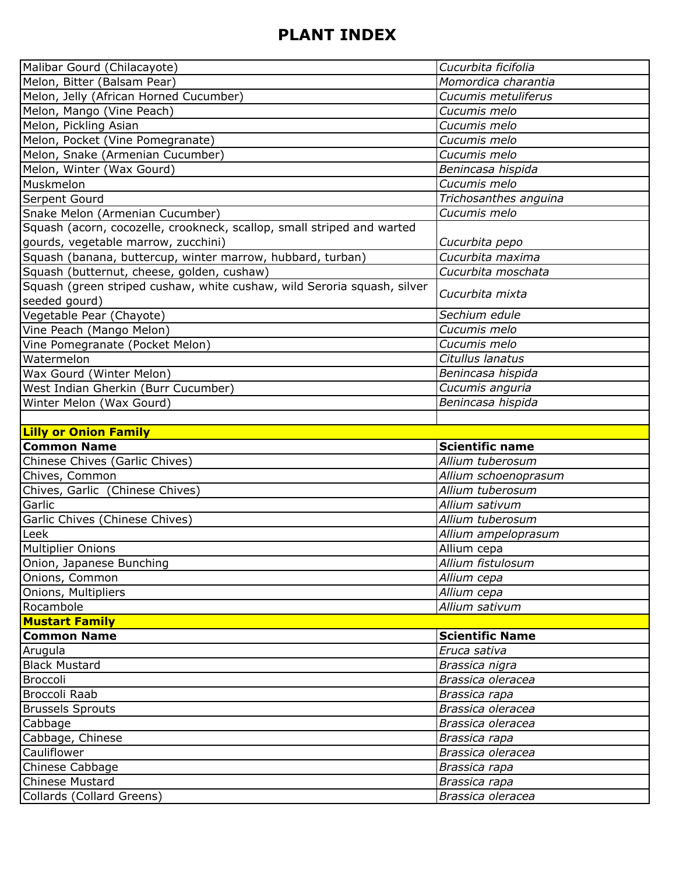| Malibar Gourd (Chilacayote)                                             | Cucurbita ficifolia    |
|-------------------------------------------------------------------------|------------------------|
| Melon, Bitter (Balsam Pear)                                             | Momordica charantia    |
| Melon, Jelly (African Horned Cucumber)                                  | Cucumis metuliferus    |
| Melon, Mango (Vine Peach)                                               | Cucumis melo           |
| Melon, Pickling Asian                                                   | Cucumis melo           |
| Melon, Pocket (Vine Pomegranate)                                        | Cucumis melo           |
| Melon, Snake (Armenian Cucumber)                                        | Cucumis melo           |
| Melon, Winter (Wax Gourd)                                               | Benincasa hispida      |
| Muskmelon                                                               | Cucumis melo           |
| Serpent Gourd                                                           | Trichosanthes anguina  |
| Snake Melon (Armenian Cucumber)                                         | Cucumis melo           |
| Squash (acorn, cocozelle, crookneck, scallop, small striped and warted  |                        |
| gourds, vegetable marrow, zucchini)                                     | Cucurbita pepo         |
| Squash (banana, buttercup, winter marrow, hubbard, turban)              | Cucurbita maxima       |
| Squash (butternut, cheese, golden, cushaw)                              | Cucurbita moschata     |
| Squash (green striped cushaw, white cushaw, wild Seroria squash, silver |                        |
| seeded gourd)                                                           | Cucurbita mixta        |
| Vegetable Pear (Chayote)                                                | Sechium edule          |
| Vine Peach (Mango Melon)                                                | Cucumis melo           |
| Vine Pomegranate (Pocket Melon)                                         | Cucumis melo           |
| Watermelon                                                              | Citullus lanatus       |
| Wax Gourd (Winter Melon)                                                | Benincasa hispida      |
| West Indian Gherkin (Burr Cucumber)                                     | Cucumis anguria        |
| Winter Melon (Wax Gourd)                                                | Benincasa hispida      |
|                                                                         |                        |
|                                                                         |                        |
| <b>Lilly or Onion Family</b>                                            |                        |
| <b>Common Name</b>                                                      | <b>Scientific name</b> |
| Chinese Chives (Garlic Chives)                                          | Allium tuberosum       |
| Chives, Common                                                          | Allium schoenoprasum   |
| Chives, Garlic (Chinese Chives)                                         | Allium tuberosum       |
| Garlic                                                                  | Allium sativum         |
| Garlic Chives (Chinese Chives)                                          | Allium tuberosum       |
| Leek                                                                    | Allium ampeloprasum    |
| Multiplier Onions                                                       | Allium cepa            |
| Onion, Japanese Bunching                                                | Allium fistulosum      |
| Onions, Common                                                          | Allium cepa            |
| Onions, Multipliers                                                     | Allium cepa            |
| Rocambole                                                               | Allium sativum         |
| <b>Mustart Family</b>                                                   |                        |
| <b>Common Name</b>                                                      | <b>Scientific Name</b> |
| Arugula                                                                 | Eruca sativa           |
| <b>Black Mustard</b>                                                    | Brassica nigra         |
| Broccoli                                                                | Brassica oleracea      |
| Broccoli Raab                                                           | Brassica rapa          |
| <b>Brussels Sprouts</b>                                                 | Brassica oleracea      |
| Cabbage                                                                 | Brassica oleracea      |
| Cabbage, Chinese                                                        | Brassica rapa          |
| Cauliflower                                                             | Brassica oleracea      |
| Chinese Cabbage                                                         | Brassica rapa          |
| <b>Chinese Mustard</b>                                                  | Brassica rapa          |
| Collards (Collard Greens)                                               | Brassica oleracea      |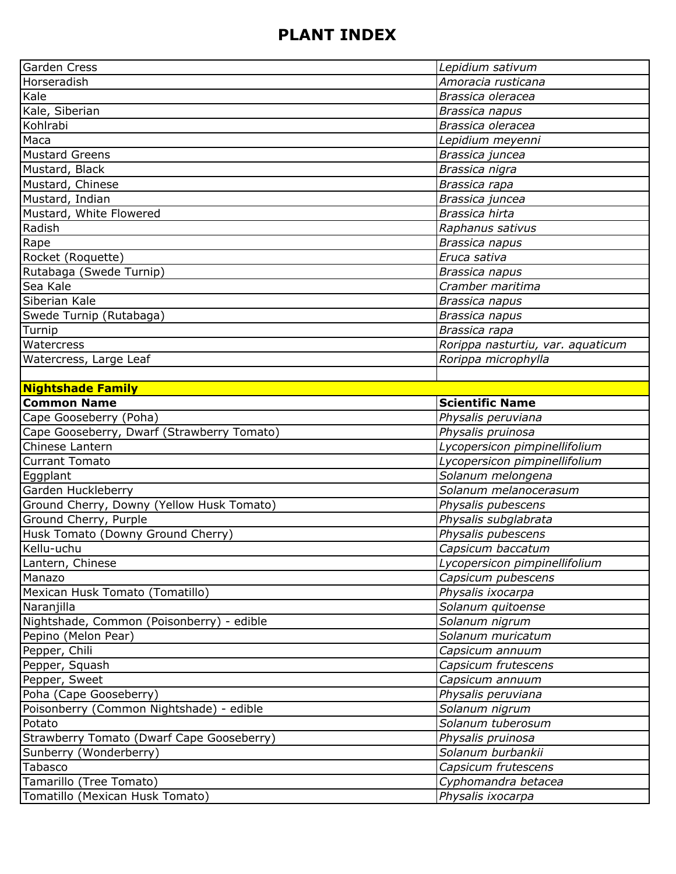| <b>Garden Cress</b>                                                 | Lepidium sativum                       |
|---------------------------------------------------------------------|----------------------------------------|
| Horseradish                                                         | Amoracia rusticana                     |
| Kale                                                                | Brassica oleracea                      |
| Kale, Siberian                                                      | Brassica napus                         |
| Kohlrabi                                                            | Brassica oleracea                      |
| Maca                                                                | Lepidium meyenni                       |
| Mustard Greens                                                      | Brassica juncea                        |
| Mustard, Black                                                      | Brassica nigra                         |
| Mustard, Chinese                                                    | Brassica rapa                          |
| Mustard, Indian                                                     | Brassica juncea                        |
| Mustard, White Flowered                                             | Brassica hirta                         |
| Radish                                                              | Raphanus sativus                       |
| Rape                                                                | Brassica napus                         |
| Rocket (Roquette)                                                   | Eruca sativa                           |
| Rutabaga (Swede Turnip)                                             | Brassica napus                         |
| Sea Kale                                                            | Cramber maritima                       |
| Siberian Kale                                                       | Brassica napus                         |
| Swede Turnip (Rutabaga)                                             | Brassica napus                         |
| Turnip                                                              | Brassica rapa                          |
| Watercress                                                          | Rorippa nasturtiu, var. aquaticum      |
| Watercress, Large Leaf                                              | Rorippa microphylla                    |
|                                                                     |                                        |
| <b>Nightshade Family</b>                                            |                                        |
| <b>Common Name</b>                                                  | <b>Scientific Name</b>                 |
| Cape Gooseberry (Poha)                                              | Physalis peruviana                     |
| Cape Gooseberry, Dwarf (Strawberry Tomato)                          | Physalis pruinosa                      |
| Chinese Lantern                                                     | Lycopersicon pimpinellifolium          |
| Currant Tomato                                                      | Lycopersicon pimpinellifolium          |
| Eggplant                                                            | Solanum melongena                      |
| Garden Huckleberry                                                  | Solanum melanocerasum                  |
| Ground Cherry, Downy (Yellow Husk Tomato)                           | Physalis pubescens                     |
| Ground Cherry, Purple                                               | Physalis subglabrata                   |
| Husk Tomato (Downy Ground Cherry)                                   | Physalis pubescens                     |
| Kellu-uchu                                                          | Capsicum baccatum                      |
| Lantern, Chinese                                                    | Lycopersicon pimpinellifolium          |
| Manazo                                                              | Capsicum pubescens                     |
| Mexican Husk Tomato (Tomatillo)                                     | Physalis ixocarpa                      |
| Naranjilla                                                          | Solanum quitoense                      |
| Nightshade, Common (Poisonberry) - edible                           | Solanum nigrum                         |
| Pepino (Melon Pear)                                                 | Solanum muricatum                      |
| Pepper, Chili                                                       | Capsicum annuum                        |
| Pepper, Squash                                                      | Capsicum frutescens                    |
| Pepper, Sweet                                                       | Capsicum annuum                        |
| Poha (Cape Gooseberry)                                              | Physalis peruviana                     |
| Poisonberry (Common Nightshade) - edible                            | Solanum nigrum                         |
| Potato                                                              | Solanum tuberosum                      |
|                                                                     |                                        |
| Strawberry Tomato (Dwarf Cape Gooseberry)<br>Sunberry (Wonderberry) | Physalis pruinosa<br>Solanum burbankii |
|                                                                     |                                        |
| Tabasco                                                             | Capsicum frutescens                    |
| Tamarillo (Tree Tomato)                                             | Cyphomandra betacea                    |
| Tomatillo (Mexican Husk Tomato)                                     | Physalis ixocarpa                      |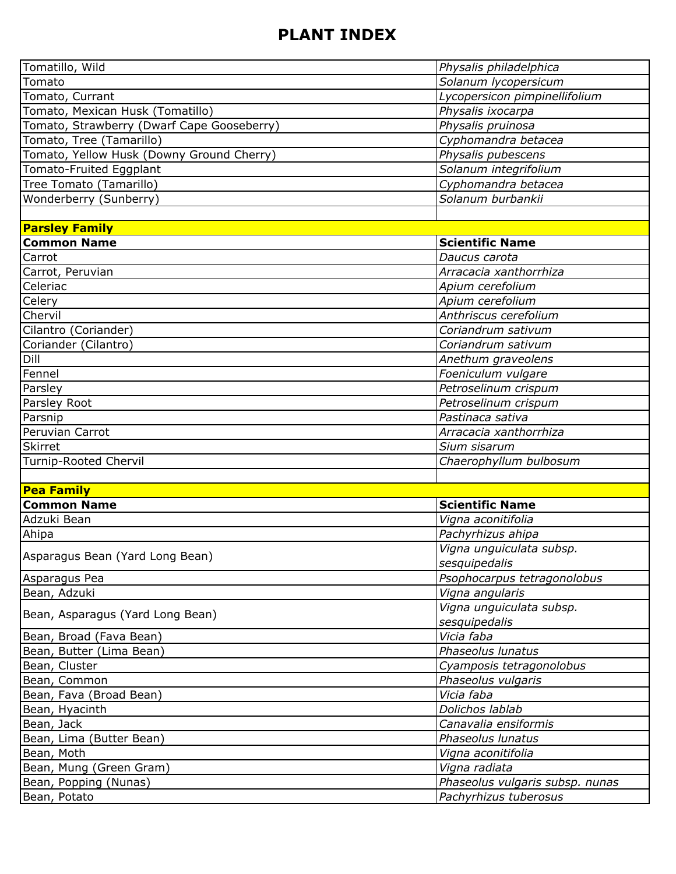| Tomatillo, Wild                            | Physalis philadelphica                                   |
|--------------------------------------------|----------------------------------------------------------|
| Tomato                                     | Solanum lycopersicum                                     |
| Tomato, Currant                            | Lycopersicon pimpinellifolium                            |
| Tomato, Mexican Husk (Tomatillo)           | Physalis ixocarpa                                        |
| Tomato, Strawberry (Dwarf Cape Gooseberry) | Physalis pruinosa                                        |
| Tomato, Tree (Tamarillo)                   | Cyphomandra betacea                                      |
| Tomato, Yellow Husk (Downy Ground Cherry)  | Physalis pubescens                                       |
| Tomato-Fruited Eggplant                    | Solanum integrifolium                                    |
| Tree Tomato (Tamarillo)                    | Cyphomandra betacea                                      |
| Wonderberry (Sunberry)                     | Solanum burbankii                                        |
|                                            |                                                          |
| <b>Parsley Family</b>                      |                                                          |
| <b>Common Name</b>                         | <b>Scientific Name</b>                                   |
| Carrot                                     | Daucus carota                                            |
| Carrot, Peruvian                           | Arracacia xanthorrhiza                                   |
| Celeriac                                   | Apium cerefolium                                         |
| Celery                                     | Apium cerefolium                                         |
| Chervil                                    | Anthriscus cerefolium                                    |
| Cilantro (Coriander)                       | Coriandrum sativum                                       |
| Coriander (Cilantro)                       | Coriandrum sativum                                       |
| Dill                                       | Anethum graveolens                                       |
| Fennel                                     | Foeniculum vulgare                                       |
| Parsley                                    | Petroselinum crispum                                     |
| Parsley Root                               | Petroselinum crispum                                     |
| Parsnip                                    | Pastinaca sativa                                         |
| Peruvian Carrot                            | Arracacia xanthorrhiza                                   |
| Skirret                                    | Sium sisarum                                             |
| Turnip-Rooted Chervil                      | Chaerophyllum bulbosum                                   |
|                                            |                                                          |
| <b>Pea Family</b>                          |                                                          |
| <b>Common Name</b>                         | <b>Scientific Name</b>                                   |
| Adzuki Bean                                | Vigna aconitifolia                                       |
| Ahipa                                      | Pachyrhizus ahipa                                        |
| Asparagus Bean (Yard Long Bean)            | Vigna unguiculata subsp.                                 |
|                                            | sesquipedalis                                            |
| Asparagus Pea                              | Psophocarpus tetragonolobus                              |
| Bean, Adzuki                               | Vigna angularis                                          |
| Bean, Asparagus (Yard Long Bean)           | Vigna unguiculata subsp.                                 |
|                                            | sesquipedalis                                            |
| Bean, Broad (Fava Bean)                    | Vicia faba                                               |
| Bean, Butter (Lima Bean)                   | Phaseolus lunatus                                        |
| Bean, Cluster                              | Cyamposis tetragonolobus                                 |
| Bean, Common                               | Phaseolus vulgaris                                       |
| Bean, Fava (Broad Bean)                    | Vicia faba                                               |
| Bean, Hyacinth                             | Dolichos lablab                                          |
| Bean, Jack                                 | Canavalia ensiformis                                     |
| Bean, Lima (Butter Bean)                   | Phaseolus lunatus                                        |
| Bean, Moth                                 | Vigna aconitifolia                                       |
| Bean, Mung (Green Gram)                    |                                                          |
|                                            | Vigna radiata                                            |
| Bean, Popping (Nunas)<br>Bean, Potato      | Phaseolus vulgaris subsp. nunas<br>Pachyrhizus tuberosus |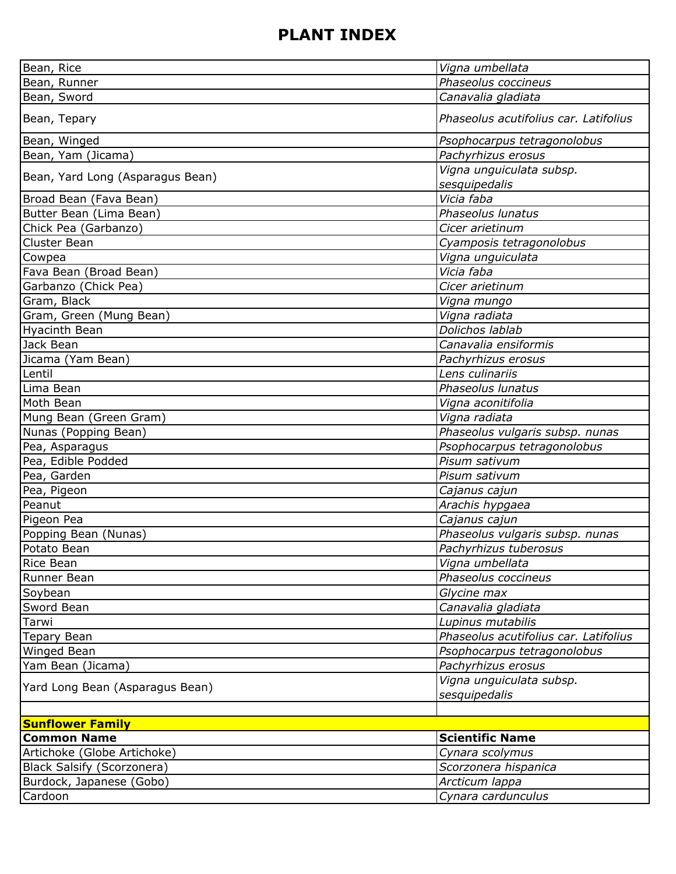| Bean, Rice                       | Vigna umbellata                       |
|----------------------------------|---------------------------------------|
| Bean, Runner                     | Phaseolus coccineus                   |
| Bean, Sword                      | Canavalia gladiata                    |
| Bean, Tepary                     | Phaseolus acutifolius car. Latifolius |
| Bean, Winged                     | Psophocarpus tetragonolobus           |
| Bean, Yam (Jicama)               | Pachyrhizus erosus                    |
|                                  | Vigna unguiculata subsp.              |
| Bean, Yard Long (Asparagus Bean) | sesquipedalis                         |
| Broad Bean (Fava Bean)           | Vicia faba                            |
| Butter Bean (Lima Bean)          | Phaseolus lunatus                     |
| Chick Pea (Garbanzo)             | Cicer arietinum                       |
| Cluster Bean                     | Cyamposis tetragonolobus              |
| Cowpea                           | Vigna unguiculata                     |
| Fava Bean (Broad Bean)           | Vicia faba                            |
| Garbanzo (Chick Pea)             | Cicer arietinum                       |
| Gram, Black                      | Vigna mungo                           |
| Gram, Green (Mung Bean)          | Vigna radiata                         |
| <b>Hyacinth Bean</b>             | Dolichos lablab                       |
| Jack Bean                        | Canavalia ensiformis                  |
| Jicama (Yam Bean)                | Pachyrhizus erosus                    |
| Lentil                           | Lens culinariis                       |
| Lima Bean                        | Phaseolus lunatus                     |
| Moth Bean                        | Vigna aconitifolia                    |
| Mung Bean (Green Gram)           | Vigna radiata                         |
| Nunas (Popping Bean)             | Phaseolus vulgaris subsp. nunas       |
| Pea, Asparagus                   | Psophocarpus tetragonolobus           |
| Pea, Edible Podded               | Pisum sativum                         |
| Pea, Garden                      | Pisum sativum                         |
| Pea, Pigeon                      | Cajanus cajun                         |
| Peanut                           | Arachis hypgaea                       |
| Pigeon Pea                       | Cajanus cajun                         |
| Popping Bean (Nunas)             | Phaseolus vulgaris subsp. nunas       |
| Potato Bean                      | Pachyrhizus tuberosus                 |
| Rice Bean                        | Vigna umbellata                       |
| Runner Bean                      | Phaseolus coccineus                   |
| Soybean                          | Glycine max                           |
| Sword Bean                       | Canavalia gladiata                    |
| Tarwi                            | Lupinus mutabilis                     |
| Tepary Bean                      | Phaseolus acutifolius car. Latifolius |
| Winged Bean                      | Psophocarpus tetragonolobus           |
| Yam Bean (Jicama)                | Pachyrhizus erosus                    |
|                                  | Vigna unguiculata subsp.              |
| Yard Long Bean (Asparagus Bean)  | sesquipedalis                         |
|                                  |                                       |
| <b>Sunflower Family</b>          |                                       |
| <b>Common Name</b>               | <b>Scientific Name</b>                |
| Artichoke (Globe Artichoke)      | Cynara scolymus                       |
| Black Salsify (Scorzonera)       | Scorzonera hispanica                  |
| Burdock, Japanese (Gobo)         | Arcticum lappa                        |
| Cardoon                          | Cynara cardunculus                    |
|                                  |                                       |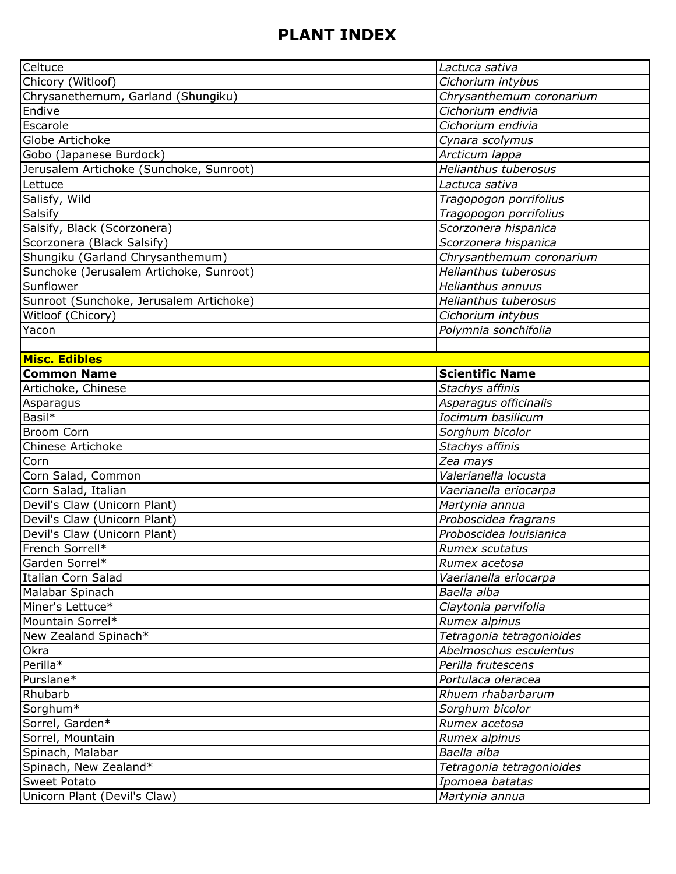| Celtuce                                 | Lactuca sativa              |
|-----------------------------------------|-----------------------------|
| Chicory (Witloof)                       | Cichorium intybus           |
| Chrysanethemum, Garland (Shungiku)      | Chrysanthemum coronarium    |
| Endive                                  | Cichorium endivia           |
| Escarole                                | Cichorium endivia           |
| Globe Artichoke                         | Cynara scolymus             |
| Gobo (Japanese Burdock)                 | Arcticum lappa              |
| Jerusalem Artichoke (Sunchoke, Sunroot) | <b>Helianthus tuberosus</b> |
| Lettuce                                 | Lactuca sativa              |
| Salisfy, Wild                           | Tragopogon porrifolius      |
| Salsify                                 | Tragopogon porrifolius      |
| Salsify, Black (Scorzonera)             | Scorzonera hispanica        |
| Scorzonera (Black Salsify)              | Scorzonera hispanica        |
| Shungiku (Garland Chrysanthemum)        | Chrysanthemum coronarium    |
| Sunchoke (Jerusalem Artichoke, Sunroot) | <b>Helianthus tuberosus</b> |
| Sunflower                               | Helianthus annuus           |
| Sunroot (Sunchoke, Jerusalem Artichoke) | <b>Helianthus tuberosus</b> |
| Witloof (Chicory)                       | Cichorium intybus           |
| Yacon                                   | Polymnia sonchifolia        |
|                                         |                             |
| <b>Misc. Edibles</b>                    |                             |
| <b>Common Name</b>                      | <b>Scientific Name</b>      |
| Artichoke, Chinese                      | Stachys affinis             |
| Asparagus                               | Asparagus officinalis       |
| Basil*                                  | Iocimum basilicum           |
| <b>Broom Corn</b>                       | Sorghum bicolor             |
| Chinese Artichoke                       | Stachys affinis             |
| Corn                                    | Zea mays                    |
| Corn Salad, Common                      | Valerianella locusta        |
| Corn Salad, Italian                     | Vaerianella eriocarpa       |
| Devil's Claw (Unicorn Plant)            | Martynia annua              |
| Devil's Claw (Unicorn Plant)            | Proboscidea fragrans        |
| Devil's Claw (Unicorn Plant)            | Proboscidea louisianica     |
| French Sorrell*                         | Rumex scutatus              |
| Garden Sorrel*                          | Rumex acetosa               |
| Italian Corn Salad                      | Vaerianella eriocarpa       |
| Malabar Spinach                         | Baella alba                 |
| Miner's Lettuce*                        | Claytonia parvifolia        |
| Mountain Sorrel*                        | Rumex alpinus               |
| New Zealand Spinach*                    | Tetragonia tetragonioides   |
| Okra                                    | Abelmoschus esculentus      |
| Perilla*                                | Perilla frutescens          |
| Purslane*                               | Portulaca oleracea          |
| Rhubarb                                 | Rhuem rhabarbarum           |
| Sorghum*                                | Sorghum bicolor             |
| Sorrel, Garden*                         | Rumex acetosa               |
| Sorrel, Mountain                        | Rumex alpinus               |
| Spinach, Malabar                        | Baella alba                 |
| Spinach, New Zealand*                   | Tetragonia tetragonioides   |
| <b>Sweet Potato</b>                     | Ipomoea batatas             |
| Unicorn Plant (Devil's Claw)            | Martynia annua              |
|                                         |                             |